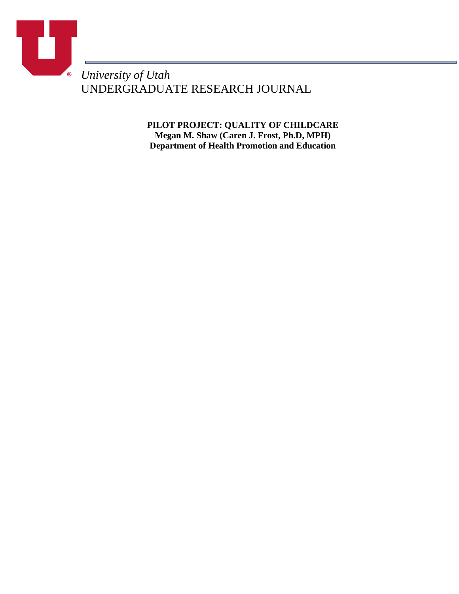

UNDERGRADUATE RESEARCH JOURNAL

**PILOT PROJECT: QUALITY OF CHILDCARE Megan M. Shaw (Caren J. Frost, Ph.D, MPH) Department of Health Promotion and Education**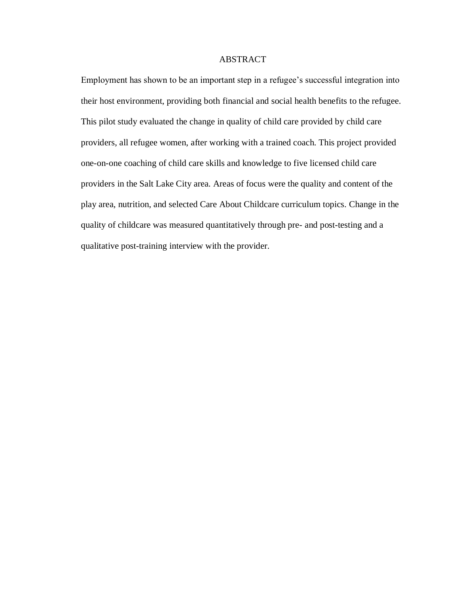## ABSTRACT

Employment has shown to be an important step in a refugee's successful integration into their host environment, providing both financial and social health benefits to the refugee. This pilot study evaluated the change in quality of child care provided by child care providers, all refugee women, after working with a trained coach. This project provided one-on-one coaching of child care skills and knowledge to five licensed child care providers in the Salt Lake City area. Areas of focus were the quality and content of the play area, nutrition, and selected Care About Childcare curriculum topics. Change in the quality of childcare was measured quantitatively through pre- and post-testing and a qualitative post-training interview with the provider.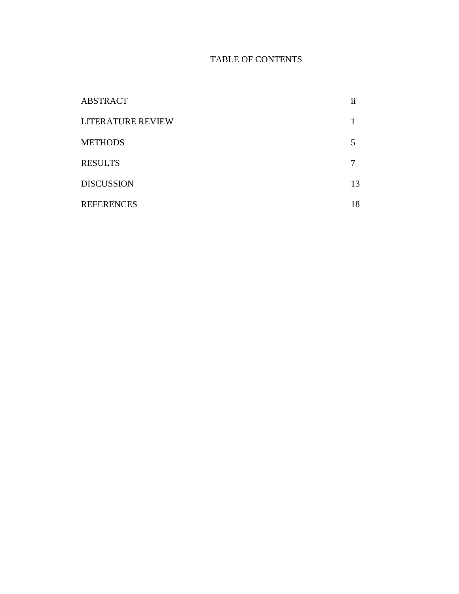# TABLE OF CONTENTS

| <b>ABSTRACT</b>          | <br>11 |
|--------------------------|--------|
| <b>LITERATURE REVIEW</b> |        |
| <b>METHODS</b>           | 5      |
| <b>RESULTS</b>           |        |
| <b>DISCUSSION</b>        | 13     |
| <b>REFERENCES</b>        | 18     |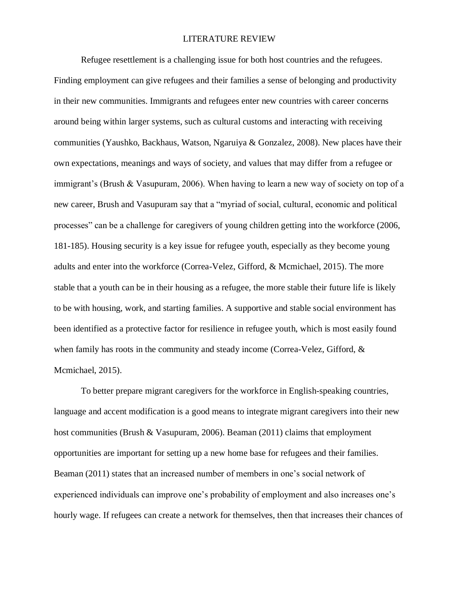#### LITERATURE REVIEW

Refugee resettlement is a challenging issue for both host countries and the refugees. Finding employment can give refugees and their families a sense of belonging and productivity in their new communities. Immigrants and refugees enter new countries with career concerns around being within larger systems, such as cultural customs and interacting with receiving communities (Yaushko, Backhaus, Watson, Ngaruiya & Gonzalez, 2008). New places have their own expectations, meanings and ways of society, and values that may differ from a refugee or immigrant's (Brush & Vasupuram, 2006). When having to learn a new way of society on top of a new career, Brush and Vasupuram say that a "myriad of social, cultural, economic and political processes" can be a challenge for caregivers of young children getting into the workforce (2006, 181-185). Housing security is a key issue for refugee youth, especially as they become young adults and enter into the workforce (Correa-Velez, Gifford, & Mcmichael, 2015). The more stable that a youth can be in their housing as a refugee, the more stable their future life is likely to be with housing, work, and starting families. A supportive and stable social environment has been identified as a protective factor for resilience in refugee youth, which is most easily found when family has roots in the community and steady income (Correa-Velez, Gifford, & Mcmichael, 2015).

To better prepare migrant caregivers for the workforce in English-speaking countries, language and accent modification is a good means to integrate migrant caregivers into their new host communities (Brush & Vasupuram, 2006). Beaman (2011) claims that employment opportunities are important for setting up a new home base for refugees and their families. Beaman (2011) states that an increased number of members in one's social network of experienced individuals can improve one's probability of employment and also increases one's hourly wage. If refugees can create a network for themselves, then that increases their chances of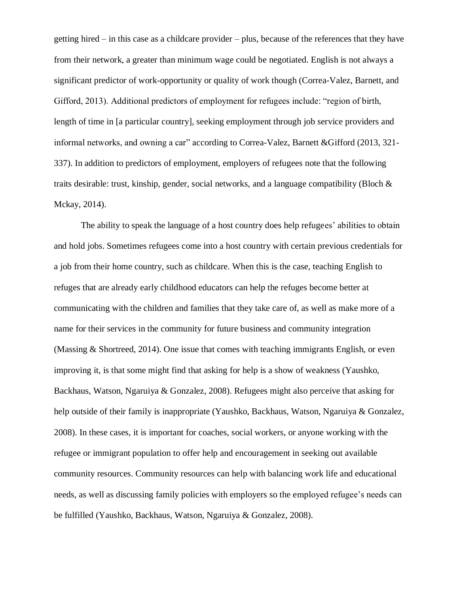getting hired – in this case as a childcare provider – plus, because of the references that they have from their network, a greater than minimum wage could be negotiated. English is not always a significant predictor of work-opportunity or quality of work though (Correa-Valez, Barnett, and Gifford, 2013). Additional predictors of employment for refugees include: "region of birth, length of time in [a particular country], seeking employment through job service providers and informal networks, and owning a car" according to Correa-Valez, Barnett &Gifford (2013, 321- 337). In addition to predictors of employment, employers of refugees note that the following traits desirable: trust, kinship, gender, social networks, and a language compatibility (Bloch  $\&$ Mckay, 2014).

The ability to speak the language of a host country does help refugees' abilities to obtain and hold jobs. Sometimes refugees come into a host country with certain previous credentials for a job from their home country, such as childcare. When this is the case, teaching English to refuges that are already early childhood educators can help the refuges become better at communicating with the children and families that they take care of, as well as make more of a name for their services in the community for future business and community integration (Massing & Shortreed, 2014). One issue that comes with teaching immigrants English, or even improving it, is that some might find that asking for help is a show of weakness (Yaushko, Backhaus, Watson, Ngaruiya & Gonzalez, 2008). Refugees might also perceive that asking for help outside of their family is inappropriate (Yaushko, Backhaus, Watson, Ngaruiya & Gonzalez, 2008). In these cases, it is important for coaches, social workers, or anyone working with the refugee or immigrant population to offer help and encouragement in seeking out available community resources. Community resources can help with balancing work life and educational needs, as well as discussing family policies with employers so the employed refugee's needs can be fulfilled (Yaushko, Backhaus, Watson, Ngaruiya & Gonzalez, 2008).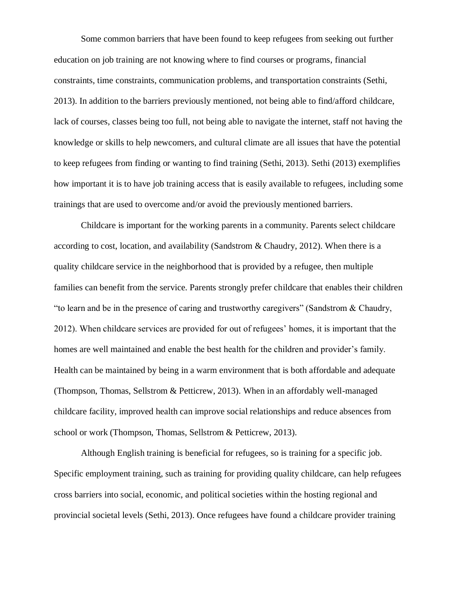Some common barriers that have been found to keep refugees from seeking out further education on job training are not knowing where to find courses or programs, financial constraints, time constraints, communication problems, and transportation constraints (Sethi, 2013). In addition to the barriers previously mentioned, not being able to find/afford childcare, lack of courses, classes being too full, not being able to navigate the internet, staff not having the knowledge or skills to help newcomers, and cultural climate are all issues that have the potential to keep refugees from finding or wanting to find training (Sethi, 2013). Sethi (2013) exemplifies how important it is to have job training access that is easily available to refugees, including some trainings that are used to overcome and/or avoid the previously mentioned barriers.

Childcare is important for the working parents in a community. Parents select childcare according to cost, location, and availability (Sandstrom & Chaudry, 2012). When there is a quality childcare service in the neighborhood that is provided by a refugee, then multiple families can benefit from the service. Parents strongly prefer childcare that enables their children "to learn and be in the presence of caring and trustworthy caregivers" (Sandstrom & Chaudry, 2012). When childcare services are provided for out of refugees' homes, it is important that the homes are well maintained and enable the best health for the children and provider's family. Health can be maintained by being in a warm environment that is both affordable and adequate (Thompson, Thomas, Sellstrom & Petticrew, 2013). When in an affordably well-managed childcare facility, improved health can improve social relationships and reduce absences from school or work (Thompson, Thomas, Sellstrom & Petticrew, 2013).

Although English training is beneficial for refugees, so is training for a specific job. Specific employment training, such as training for providing quality childcare, can help refugees cross barriers into social, economic, and political societies within the hosting regional and provincial societal levels (Sethi, 2013). Once refugees have found a childcare provider training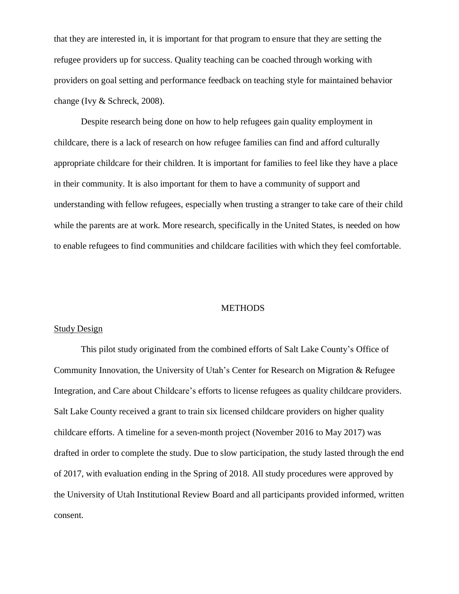that they are interested in, it is important for that program to ensure that they are setting the refugee providers up for success. Quality teaching can be coached through working with providers on goal setting and performance feedback on teaching style for maintained behavior change (Ivy & Schreck, 2008).

Despite research being done on how to help refugees gain quality employment in childcare, there is a lack of research on how refugee families can find and afford culturally appropriate childcare for their children. It is important for families to feel like they have a place in their community. It is also important for them to have a community of support and understanding with fellow refugees, especially when trusting a stranger to take care of their child while the parents are at work. More research, specifically in the United States, is needed on how to enable refugees to find communities and childcare facilities with which they feel comfortable.

#### **METHODS**

#### Study Design

This pilot study originated from the combined efforts of Salt Lake County's Office of Community Innovation, the University of Utah's Center for Research on Migration & Refugee Integration, and Care about Childcare's efforts to license refugees as quality childcare providers. Salt Lake County received a grant to train six licensed childcare providers on higher quality childcare efforts. A timeline for a seven-month project (November 2016 to May 2017) was drafted in order to complete the study. Due to slow participation, the study lasted through the end of 2017, with evaluation ending in the Spring of 2018. All study procedures were approved by the University of Utah Institutional Review Board and all participants provided informed, written consent.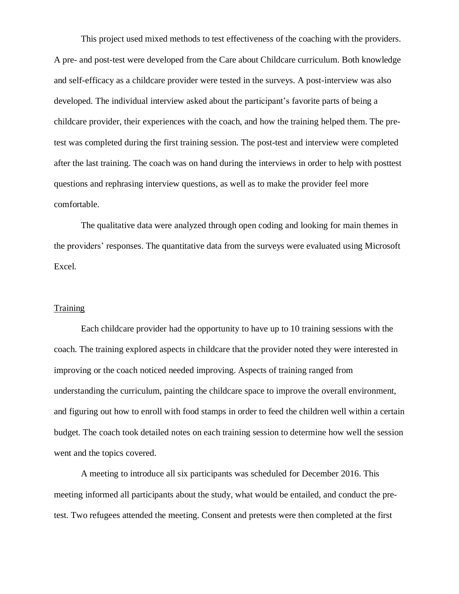This project used mixed methods to test effectiveness of the coaching with the providers. A pre- and post-test were developed from the Care about Childcare curriculum. Both knowledge and self-efficacy as a childcare provider were tested in the surveys. A post-interview was also developed. The individual interview asked about the participant's favorite parts of being a childcare provider, their experiences with the coach, and how the training helped them. The pretest was completed during the first training session. The post-test and interview were completed after the last training. The coach was on hand during the interviews in order to help with posttest questions and rephrasing interview questions, as well as to make the provider feel more comfortable.

The qualitative data were analyzed through open coding and looking for main themes in the providers' responses. The quantitative data from the surveys were evaluated using Microsoft Excel.

#### **Training**

Each childcare provider had the opportunity to have up to 10 training sessions with the coach. The training explored aspects in childcare that the provider noted they were interested in improving or the coach noticed needed improving. Aspects of training ranged from understanding the curriculum, painting the childcare space to improve the overall environment, and figuring out how to enroll with food stamps in order to feed the children well within a certain budget. The coach took detailed notes on each training session to determine how well the session went and the topics covered.

A meeting to introduce all six participants was scheduled for December 2016. This meeting informed all participants about the study, what would be entailed, and conduct the pretest. Two refugees attended the meeting. Consent and pretests were then completed at the first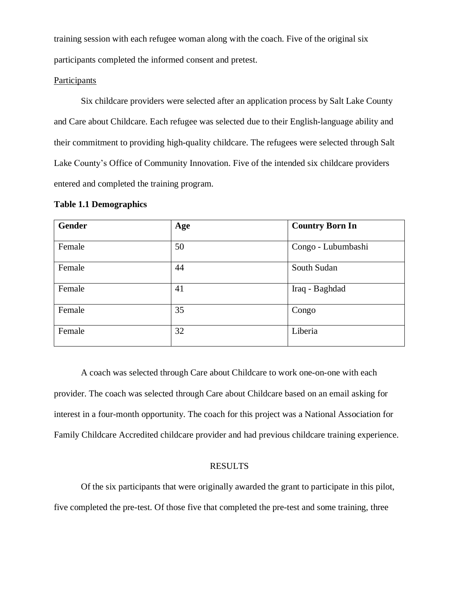training session with each refugee woman along with the coach. Five of the original six participants completed the informed consent and pretest.

## **Participants**

Six childcare providers were selected after an application process by Salt Lake County and Care about Childcare. Each refugee was selected due to their English-language ability and their commitment to providing high-quality childcare. The refugees were selected through Salt Lake County's Office of Community Innovation. Five of the intended six childcare providers entered and completed the training program.

#### **Table 1.1 Demographics**

| Gender | Age | <b>Country Born In</b> |
|--------|-----|------------------------|
| Female | 50  | Congo - Lubumbashi     |
| Female | 44  | South Sudan            |
| Female | 41  | Iraq - Baghdad         |
| Female | 35  | Congo                  |
| Female | 32  | Liberia                |

A coach was selected through Care about Childcare to work one-on-one with each provider. The coach was selected through Care about Childcare based on an email asking for interest in a four-month opportunity. The coach for this project was a National Association for Family Childcare Accredited childcare provider and had previous childcare training experience.

#### RESULTS

Of the six participants that were originally awarded the grant to participate in this pilot, five completed the pre-test. Of those five that completed the pre-test and some training, three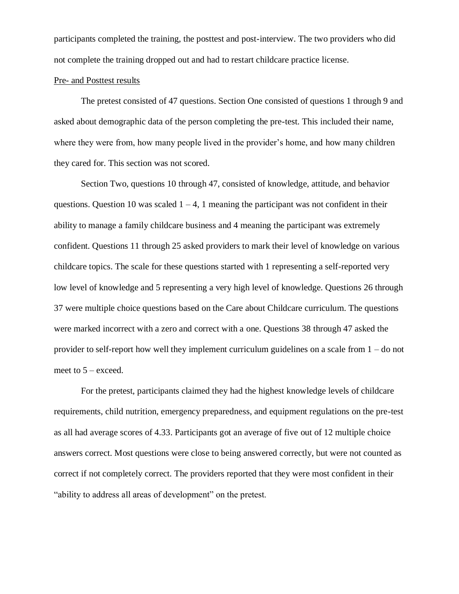participants completed the training, the posttest and post-interview. The two providers who did not complete the training dropped out and had to restart childcare practice license.

## Pre- and Posttest results

The pretest consisted of 47 questions. Section One consisted of questions 1 through 9 and asked about demographic data of the person completing the pre-test. This included their name, where they were from, how many people lived in the provider's home, and how many children they cared for. This section was not scored.

Section Two, questions 10 through 47, consisted of knowledge, attitude, and behavior questions. Question 10 was scaled  $1 - 4$ , 1 meaning the participant was not confident in their ability to manage a family childcare business and 4 meaning the participant was extremely confident. Questions 11 through 25 asked providers to mark their level of knowledge on various childcare topics. The scale for these questions started with 1 representing a self-reported very low level of knowledge and 5 representing a very high level of knowledge. Questions 26 through 37 were multiple choice questions based on the Care about Childcare curriculum. The questions were marked incorrect with a zero and correct with a one. Questions 38 through 47 asked the provider to self-report how well they implement curriculum guidelines on a scale from 1 – do not meet to 5 – exceed.

For the pretest, participants claimed they had the highest knowledge levels of childcare requirements, child nutrition, emergency preparedness, and equipment regulations on the pre-test as all had average scores of 4.33. Participants got an average of five out of 12 multiple choice answers correct. Most questions were close to being answered correctly, but were not counted as correct if not completely correct. The providers reported that they were most confident in their "ability to address all areas of development" on the pretest.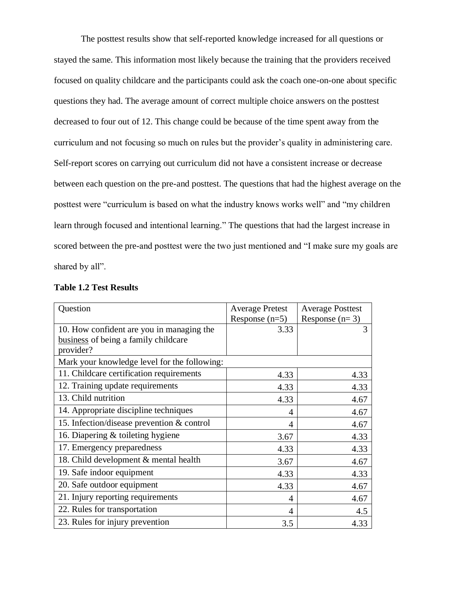The posttest results show that self-reported knowledge increased for all questions or stayed the same. This information most likely because the training that the providers received focused on quality childcare and the participants could ask the coach one-on-one about specific questions they had. The average amount of correct multiple choice answers on the posttest decreased to four out of 12. This change could be because of the time spent away from the curriculum and not focusing so much on rules but the provider's quality in administering care. Self-report scores on carrying out curriculum did not have a consistent increase or decrease between each question on the pre-and posttest. The questions that had the highest average on the posttest were "curriculum is based on what the industry knows works well" and "my children learn through focused and intentional learning." The questions that had the largest increase in scored between the pre-and posttest were the two just mentioned and "I make sure my goals are shared by all".

| Question                                     | <b>Average Pretest</b> | <b>Average Posttest</b> |
|----------------------------------------------|------------------------|-------------------------|
|                                              | Response $(n=5)$       | Response $(n=3)$        |
| 10. How confident are you in managing the    | 3.33                   | 3                       |
| business of being a family childcare         |                        |                         |
| provider?                                    |                        |                         |
| Mark your knowledge level for the following: |                        |                         |
| 11. Childcare certification requirements     | 4.33                   | 4.33                    |
| 12. Training update requirements             | 4.33                   | 4.33                    |
| 13. Child nutrition                          | 4.33                   | 4.67                    |
| 14. Appropriate discipline techniques        | 4                      | 4.67                    |
| 15. Infection/disease prevention & control   | 4                      | 4.67                    |
| 16. Diapering $&$ toileting hygiene          | 3.67                   | 4.33                    |
| 17. Emergency preparedness                   | 4.33                   | 4.33                    |
| 18. Child development & mental health        | 3.67                   | 4.67                    |
| 19. Safe indoor equipment                    | 4.33                   | 4.33                    |
| 20. Safe outdoor equipment                   | 4.33                   | 4.67                    |
| 21. Injury reporting requirements            | 4                      | 4.67                    |
| 22. Rules for transportation                 | 4                      | 4.5                     |
| 23. Rules for injury prevention              | 3.5                    | 4.33                    |

#### **Table 1.2 Test Results**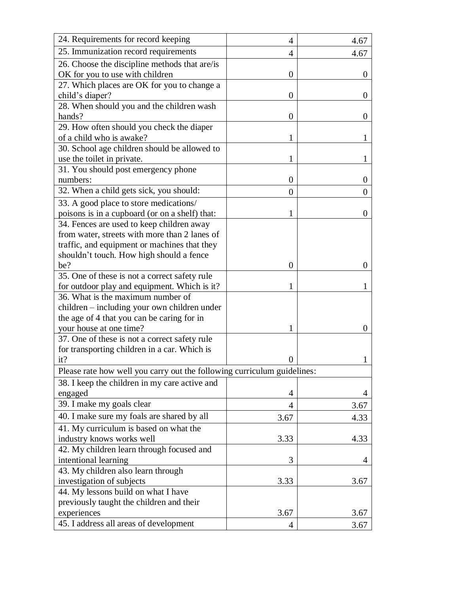| 24. Requirements for record keeping<br>$\overline{4}$<br>4.67<br>25. Immunization record requirements<br>4.67<br>$\overline{4}$<br>26. Choose the discipline methods that are/is<br>OK for you to use with children<br>$\overline{0}$<br>$\Omega$<br>27. Which places are OK for you to change a<br>child's diaper?<br>0<br>$\theta$<br>28. When should you and the children wash<br>hands?<br>$\overline{0}$<br>$\Omega$<br>29. How often should you check the diaper<br>of a child who is awake?<br>30. School age children should be allowed to<br>use the toilet in private.<br>1<br>1<br>31. You should post emergency phone<br>numbers:<br>$\overline{0}$<br>$\theta$<br>32. When a child gets sick, you should:<br>0<br>O<br>33. A good place to store medications/<br>poisons is in a cupboard (or on a shelf) that:<br>1<br>$\Omega$<br>34. Fences are used to keep children away<br>from water, streets with more than 2 lanes of<br>traffic, and equipment or machines that they<br>shouldn't touch. How high should a fence<br>$\overline{0}$<br>be?<br>0<br>35. One of these is not a correct safety rule<br>for outdoor play and equipment. Which is it?<br>36. What is the maximum number of<br>children - including your own children under<br>the age of 4 that you can be caring for in<br>your house at one time?<br>0<br>37. One of these is not a correct safety rule<br>for transporting children in a car. Which is<br>it?<br>$\overline{0}$<br>Please rate how well you carry out the following curriculum guidelines:<br>38. I keep the children in my care active and<br>engaged<br>4<br>4<br>39. I make my goals clear<br>3.67<br>4<br>40. I make sure my foals are shared by all<br>4.33<br>3.67<br>41. My curriculum is based on what the<br>industry knows works well<br>3.33<br>4.33<br>42. My children learn through focused and<br>intentional learning<br>3<br>4<br>43. My children also learn through<br>investigation of subjects<br>3.33<br>3.67<br>44. My lessons build on what I have<br>previously taught the children and their<br>3.67<br>experiences<br>3.67<br>45. I address all areas of development<br>3.67<br>4 |  |  |
|----------------------------------------------------------------------------------------------------------------------------------------------------------------------------------------------------------------------------------------------------------------------------------------------------------------------------------------------------------------------------------------------------------------------------------------------------------------------------------------------------------------------------------------------------------------------------------------------------------------------------------------------------------------------------------------------------------------------------------------------------------------------------------------------------------------------------------------------------------------------------------------------------------------------------------------------------------------------------------------------------------------------------------------------------------------------------------------------------------------------------------------------------------------------------------------------------------------------------------------------------------------------------------------------------------------------------------------------------------------------------------------------------------------------------------------------------------------------------------------------------------------------------------------------------------------------------------------------------------------------------------------------------------------------------------------------------------------------------------------------------------------------------------------------------------------------------------------------------------------------------------------------------------------------------------------------------------------------------------------------------------------------------------------------------------------------------------------------------------------------------------------------------------------|--|--|
|                                                                                                                                                                                                                                                                                                                                                                                                                                                                                                                                                                                                                                                                                                                                                                                                                                                                                                                                                                                                                                                                                                                                                                                                                                                                                                                                                                                                                                                                                                                                                                                                                                                                                                                                                                                                                                                                                                                                                                                                                                                                                                                                                                |  |  |
|                                                                                                                                                                                                                                                                                                                                                                                                                                                                                                                                                                                                                                                                                                                                                                                                                                                                                                                                                                                                                                                                                                                                                                                                                                                                                                                                                                                                                                                                                                                                                                                                                                                                                                                                                                                                                                                                                                                                                                                                                                                                                                                                                                |  |  |
|                                                                                                                                                                                                                                                                                                                                                                                                                                                                                                                                                                                                                                                                                                                                                                                                                                                                                                                                                                                                                                                                                                                                                                                                                                                                                                                                                                                                                                                                                                                                                                                                                                                                                                                                                                                                                                                                                                                                                                                                                                                                                                                                                                |  |  |
|                                                                                                                                                                                                                                                                                                                                                                                                                                                                                                                                                                                                                                                                                                                                                                                                                                                                                                                                                                                                                                                                                                                                                                                                                                                                                                                                                                                                                                                                                                                                                                                                                                                                                                                                                                                                                                                                                                                                                                                                                                                                                                                                                                |  |  |
|                                                                                                                                                                                                                                                                                                                                                                                                                                                                                                                                                                                                                                                                                                                                                                                                                                                                                                                                                                                                                                                                                                                                                                                                                                                                                                                                                                                                                                                                                                                                                                                                                                                                                                                                                                                                                                                                                                                                                                                                                                                                                                                                                                |  |  |
|                                                                                                                                                                                                                                                                                                                                                                                                                                                                                                                                                                                                                                                                                                                                                                                                                                                                                                                                                                                                                                                                                                                                                                                                                                                                                                                                                                                                                                                                                                                                                                                                                                                                                                                                                                                                                                                                                                                                                                                                                                                                                                                                                                |  |  |
|                                                                                                                                                                                                                                                                                                                                                                                                                                                                                                                                                                                                                                                                                                                                                                                                                                                                                                                                                                                                                                                                                                                                                                                                                                                                                                                                                                                                                                                                                                                                                                                                                                                                                                                                                                                                                                                                                                                                                                                                                                                                                                                                                                |  |  |
|                                                                                                                                                                                                                                                                                                                                                                                                                                                                                                                                                                                                                                                                                                                                                                                                                                                                                                                                                                                                                                                                                                                                                                                                                                                                                                                                                                                                                                                                                                                                                                                                                                                                                                                                                                                                                                                                                                                                                                                                                                                                                                                                                                |  |  |
|                                                                                                                                                                                                                                                                                                                                                                                                                                                                                                                                                                                                                                                                                                                                                                                                                                                                                                                                                                                                                                                                                                                                                                                                                                                                                                                                                                                                                                                                                                                                                                                                                                                                                                                                                                                                                                                                                                                                                                                                                                                                                                                                                                |  |  |
|                                                                                                                                                                                                                                                                                                                                                                                                                                                                                                                                                                                                                                                                                                                                                                                                                                                                                                                                                                                                                                                                                                                                                                                                                                                                                                                                                                                                                                                                                                                                                                                                                                                                                                                                                                                                                                                                                                                                                                                                                                                                                                                                                                |  |  |
|                                                                                                                                                                                                                                                                                                                                                                                                                                                                                                                                                                                                                                                                                                                                                                                                                                                                                                                                                                                                                                                                                                                                                                                                                                                                                                                                                                                                                                                                                                                                                                                                                                                                                                                                                                                                                                                                                                                                                                                                                                                                                                                                                                |  |  |
|                                                                                                                                                                                                                                                                                                                                                                                                                                                                                                                                                                                                                                                                                                                                                                                                                                                                                                                                                                                                                                                                                                                                                                                                                                                                                                                                                                                                                                                                                                                                                                                                                                                                                                                                                                                                                                                                                                                                                                                                                                                                                                                                                                |  |  |
|                                                                                                                                                                                                                                                                                                                                                                                                                                                                                                                                                                                                                                                                                                                                                                                                                                                                                                                                                                                                                                                                                                                                                                                                                                                                                                                                                                                                                                                                                                                                                                                                                                                                                                                                                                                                                                                                                                                                                                                                                                                                                                                                                                |  |  |
|                                                                                                                                                                                                                                                                                                                                                                                                                                                                                                                                                                                                                                                                                                                                                                                                                                                                                                                                                                                                                                                                                                                                                                                                                                                                                                                                                                                                                                                                                                                                                                                                                                                                                                                                                                                                                                                                                                                                                                                                                                                                                                                                                                |  |  |
|                                                                                                                                                                                                                                                                                                                                                                                                                                                                                                                                                                                                                                                                                                                                                                                                                                                                                                                                                                                                                                                                                                                                                                                                                                                                                                                                                                                                                                                                                                                                                                                                                                                                                                                                                                                                                                                                                                                                                                                                                                                                                                                                                                |  |  |
|                                                                                                                                                                                                                                                                                                                                                                                                                                                                                                                                                                                                                                                                                                                                                                                                                                                                                                                                                                                                                                                                                                                                                                                                                                                                                                                                                                                                                                                                                                                                                                                                                                                                                                                                                                                                                                                                                                                                                                                                                                                                                                                                                                |  |  |
|                                                                                                                                                                                                                                                                                                                                                                                                                                                                                                                                                                                                                                                                                                                                                                                                                                                                                                                                                                                                                                                                                                                                                                                                                                                                                                                                                                                                                                                                                                                                                                                                                                                                                                                                                                                                                                                                                                                                                                                                                                                                                                                                                                |  |  |
|                                                                                                                                                                                                                                                                                                                                                                                                                                                                                                                                                                                                                                                                                                                                                                                                                                                                                                                                                                                                                                                                                                                                                                                                                                                                                                                                                                                                                                                                                                                                                                                                                                                                                                                                                                                                                                                                                                                                                                                                                                                                                                                                                                |  |  |
|                                                                                                                                                                                                                                                                                                                                                                                                                                                                                                                                                                                                                                                                                                                                                                                                                                                                                                                                                                                                                                                                                                                                                                                                                                                                                                                                                                                                                                                                                                                                                                                                                                                                                                                                                                                                                                                                                                                                                                                                                                                                                                                                                                |  |  |
|                                                                                                                                                                                                                                                                                                                                                                                                                                                                                                                                                                                                                                                                                                                                                                                                                                                                                                                                                                                                                                                                                                                                                                                                                                                                                                                                                                                                                                                                                                                                                                                                                                                                                                                                                                                                                                                                                                                                                                                                                                                                                                                                                                |  |  |
|                                                                                                                                                                                                                                                                                                                                                                                                                                                                                                                                                                                                                                                                                                                                                                                                                                                                                                                                                                                                                                                                                                                                                                                                                                                                                                                                                                                                                                                                                                                                                                                                                                                                                                                                                                                                                                                                                                                                                                                                                                                                                                                                                                |  |  |
|                                                                                                                                                                                                                                                                                                                                                                                                                                                                                                                                                                                                                                                                                                                                                                                                                                                                                                                                                                                                                                                                                                                                                                                                                                                                                                                                                                                                                                                                                                                                                                                                                                                                                                                                                                                                                                                                                                                                                                                                                                                                                                                                                                |  |  |
|                                                                                                                                                                                                                                                                                                                                                                                                                                                                                                                                                                                                                                                                                                                                                                                                                                                                                                                                                                                                                                                                                                                                                                                                                                                                                                                                                                                                                                                                                                                                                                                                                                                                                                                                                                                                                                                                                                                                                                                                                                                                                                                                                                |  |  |
|                                                                                                                                                                                                                                                                                                                                                                                                                                                                                                                                                                                                                                                                                                                                                                                                                                                                                                                                                                                                                                                                                                                                                                                                                                                                                                                                                                                                                                                                                                                                                                                                                                                                                                                                                                                                                                                                                                                                                                                                                                                                                                                                                                |  |  |
|                                                                                                                                                                                                                                                                                                                                                                                                                                                                                                                                                                                                                                                                                                                                                                                                                                                                                                                                                                                                                                                                                                                                                                                                                                                                                                                                                                                                                                                                                                                                                                                                                                                                                                                                                                                                                                                                                                                                                                                                                                                                                                                                                                |  |  |
|                                                                                                                                                                                                                                                                                                                                                                                                                                                                                                                                                                                                                                                                                                                                                                                                                                                                                                                                                                                                                                                                                                                                                                                                                                                                                                                                                                                                                                                                                                                                                                                                                                                                                                                                                                                                                                                                                                                                                                                                                                                                                                                                                                |  |  |
|                                                                                                                                                                                                                                                                                                                                                                                                                                                                                                                                                                                                                                                                                                                                                                                                                                                                                                                                                                                                                                                                                                                                                                                                                                                                                                                                                                                                                                                                                                                                                                                                                                                                                                                                                                                                                                                                                                                                                                                                                                                                                                                                                                |  |  |
|                                                                                                                                                                                                                                                                                                                                                                                                                                                                                                                                                                                                                                                                                                                                                                                                                                                                                                                                                                                                                                                                                                                                                                                                                                                                                                                                                                                                                                                                                                                                                                                                                                                                                                                                                                                                                                                                                                                                                                                                                                                                                                                                                                |  |  |
|                                                                                                                                                                                                                                                                                                                                                                                                                                                                                                                                                                                                                                                                                                                                                                                                                                                                                                                                                                                                                                                                                                                                                                                                                                                                                                                                                                                                                                                                                                                                                                                                                                                                                                                                                                                                                                                                                                                                                                                                                                                                                                                                                                |  |  |
|                                                                                                                                                                                                                                                                                                                                                                                                                                                                                                                                                                                                                                                                                                                                                                                                                                                                                                                                                                                                                                                                                                                                                                                                                                                                                                                                                                                                                                                                                                                                                                                                                                                                                                                                                                                                                                                                                                                                                                                                                                                                                                                                                                |  |  |
|                                                                                                                                                                                                                                                                                                                                                                                                                                                                                                                                                                                                                                                                                                                                                                                                                                                                                                                                                                                                                                                                                                                                                                                                                                                                                                                                                                                                                                                                                                                                                                                                                                                                                                                                                                                                                                                                                                                                                                                                                                                                                                                                                                |  |  |
|                                                                                                                                                                                                                                                                                                                                                                                                                                                                                                                                                                                                                                                                                                                                                                                                                                                                                                                                                                                                                                                                                                                                                                                                                                                                                                                                                                                                                                                                                                                                                                                                                                                                                                                                                                                                                                                                                                                                                                                                                                                                                                                                                                |  |  |
|                                                                                                                                                                                                                                                                                                                                                                                                                                                                                                                                                                                                                                                                                                                                                                                                                                                                                                                                                                                                                                                                                                                                                                                                                                                                                                                                                                                                                                                                                                                                                                                                                                                                                                                                                                                                                                                                                                                                                                                                                                                                                                                                                                |  |  |
|                                                                                                                                                                                                                                                                                                                                                                                                                                                                                                                                                                                                                                                                                                                                                                                                                                                                                                                                                                                                                                                                                                                                                                                                                                                                                                                                                                                                                                                                                                                                                                                                                                                                                                                                                                                                                                                                                                                                                                                                                                                                                                                                                                |  |  |
|                                                                                                                                                                                                                                                                                                                                                                                                                                                                                                                                                                                                                                                                                                                                                                                                                                                                                                                                                                                                                                                                                                                                                                                                                                                                                                                                                                                                                                                                                                                                                                                                                                                                                                                                                                                                                                                                                                                                                                                                                                                                                                                                                                |  |  |
|                                                                                                                                                                                                                                                                                                                                                                                                                                                                                                                                                                                                                                                                                                                                                                                                                                                                                                                                                                                                                                                                                                                                                                                                                                                                                                                                                                                                                                                                                                                                                                                                                                                                                                                                                                                                                                                                                                                                                                                                                                                                                                                                                                |  |  |
|                                                                                                                                                                                                                                                                                                                                                                                                                                                                                                                                                                                                                                                                                                                                                                                                                                                                                                                                                                                                                                                                                                                                                                                                                                                                                                                                                                                                                                                                                                                                                                                                                                                                                                                                                                                                                                                                                                                                                                                                                                                                                                                                                                |  |  |
|                                                                                                                                                                                                                                                                                                                                                                                                                                                                                                                                                                                                                                                                                                                                                                                                                                                                                                                                                                                                                                                                                                                                                                                                                                                                                                                                                                                                                                                                                                                                                                                                                                                                                                                                                                                                                                                                                                                                                                                                                                                                                                                                                                |  |  |
|                                                                                                                                                                                                                                                                                                                                                                                                                                                                                                                                                                                                                                                                                                                                                                                                                                                                                                                                                                                                                                                                                                                                                                                                                                                                                                                                                                                                                                                                                                                                                                                                                                                                                                                                                                                                                                                                                                                                                                                                                                                                                                                                                                |  |  |
|                                                                                                                                                                                                                                                                                                                                                                                                                                                                                                                                                                                                                                                                                                                                                                                                                                                                                                                                                                                                                                                                                                                                                                                                                                                                                                                                                                                                                                                                                                                                                                                                                                                                                                                                                                                                                                                                                                                                                                                                                                                                                                                                                                |  |  |
|                                                                                                                                                                                                                                                                                                                                                                                                                                                                                                                                                                                                                                                                                                                                                                                                                                                                                                                                                                                                                                                                                                                                                                                                                                                                                                                                                                                                                                                                                                                                                                                                                                                                                                                                                                                                                                                                                                                                                                                                                                                                                                                                                                |  |  |
|                                                                                                                                                                                                                                                                                                                                                                                                                                                                                                                                                                                                                                                                                                                                                                                                                                                                                                                                                                                                                                                                                                                                                                                                                                                                                                                                                                                                                                                                                                                                                                                                                                                                                                                                                                                                                                                                                                                                                                                                                                                                                                                                                                |  |  |
|                                                                                                                                                                                                                                                                                                                                                                                                                                                                                                                                                                                                                                                                                                                                                                                                                                                                                                                                                                                                                                                                                                                                                                                                                                                                                                                                                                                                                                                                                                                                                                                                                                                                                                                                                                                                                                                                                                                                                                                                                                                                                                                                                                |  |  |
|                                                                                                                                                                                                                                                                                                                                                                                                                                                                                                                                                                                                                                                                                                                                                                                                                                                                                                                                                                                                                                                                                                                                                                                                                                                                                                                                                                                                                                                                                                                                                                                                                                                                                                                                                                                                                                                                                                                                                                                                                                                                                                                                                                |  |  |
|                                                                                                                                                                                                                                                                                                                                                                                                                                                                                                                                                                                                                                                                                                                                                                                                                                                                                                                                                                                                                                                                                                                                                                                                                                                                                                                                                                                                                                                                                                                                                                                                                                                                                                                                                                                                                                                                                                                                                                                                                                                                                                                                                                |  |  |
|                                                                                                                                                                                                                                                                                                                                                                                                                                                                                                                                                                                                                                                                                                                                                                                                                                                                                                                                                                                                                                                                                                                                                                                                                                                                                                                                                                                                                                                                                                                                                                                                                                                                                                                                                                                                                                                                                                                                                                                                                                                                                                                                                                |  |  |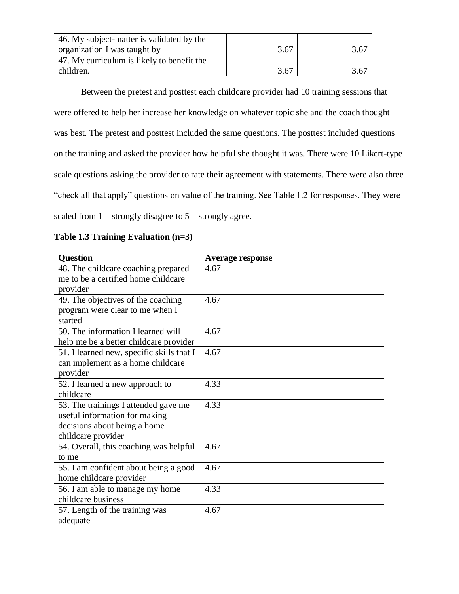| 46. My subject-matter is validated by the  |      |      |
|--------------------------------------------|------|------|
| organization I was taught by               | 3.67 | 3.67 |
| 47. My curriculum is likely to benefit the |      |      |
| children.                                  | 3.67 | 3.67 |

Between the pretest and posttest each childcare provider had 10 training sessions that were offered to help her increase her knowledge on whatever topic she and the coach thought was best. The pretest and posttest included the same questions. The posttest included questions on the training and asked the provider how helpful she thought it was. There were 10 Likert-type scale questions asking the provider to rate their agreement with statements. There were also three "check all that apply" questions on value of the training. See Table 1.2 for responses. They were scaled from  $1 -$  strongly disagree to  $5 -$  strongly agree.

| <b>Question</b>                           | <b>Average response</b> |
|-------------------------------------------|-------------------------|
| 48. The childcare coaching prepared       | 4.67                    |
| me to be a certified home childcare       |                         |
| provider                                  |                         |
| 49. The objectives of the coaching        | 4.67                    |
| program were clear to me when I           |                         |
| started                                   |                         |
| 50. The information I learned will        | 4.67                    |
| help me be a better childcare provider    |                         |
| 51. I learned new, specific skills that I | 4.67                    |
| can implement as a home childcare         |                         |
| provider                                  |                         |
| 52. I learned a new approach to           | 4.33                    |
| childcare                                 |                         |
| 53. The trainings I attended gave me      | 4.33                    |
| useful information for making             |                         |
| decisions about being a home              |                         |
| childcare provider                        |                         |
| 54. Overall, this coaching was helpful    | 4.67                    |
| to me                                     |                         |
| 55. I am confident about being a good     | 4.67                    |
| home childcare provider                   |                         |
| 56. I am able to manage my home           | 4.33                    |
| childcare business                        |                         |
| 57. Length of the training was            | 4.67                    |
| adequate                                  |                         |

**Table 1.3 Training Evaluation (n=3)**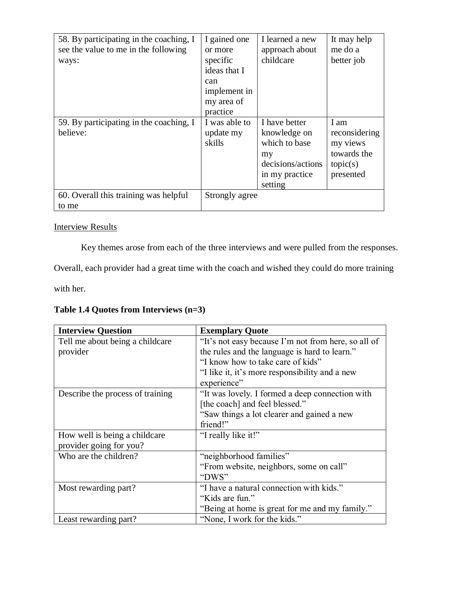| 58. By participating in the coaching, I<br>see the value to me in the following<br>ways: | I gained one<br>or more<br>specific<br>ideas that I<br>can<br>implement in<br>my area of<br>practice | I learned a new<br>approach about<br>childcare                                                         | It may help<br>me do a<br>better job                                      |
|------------------------------------------------------------------------------------------|------------------------------------------------------------------------------------------------------|--------------------------------------------------------------------------------------------------------|---------------------------------------------------------------------------|
| 59. By participating in the coaching, I<br>believe:                                      | I was able to<br>update my<br>skills                                                                 | I have better<br>knowledge on<br>which to base<br>my<br>decisions/actions<br>in my practice<br>setting | I am<br>reconsidering<br>my views<br>towards the<br>topic(s)<br>presented |
| 60. Overall this training was helpful<br>to me                                           | Strongly agree                                                                                       |                                                                                                        |                                                                           |

## Interview Results

Key themes arose from each of the three interviews and were pulled from the responses.

Overall, each provider had a great time with the coach and wished they could do more training

with her.

**Table 1.4 Quotes from Interviews (n=3)**

| <b>Interview Question</b>                   | <b>Exemplary Quote</b>                                                                               |
|---------------------------------------------|------------------------------------------------------------------------------------------------------|
| Tell me about being a childcare<br>provider | "It's not easy because I'm not from here, so all of<br>the rules and the language is hard to learn." |
|                                             | "I know how to take care of kids"                                                                    |
|                                             | "I like it, it's more responsibility and a new                                                       |
|                                             | experience"                                                                                          |
| Describe the process of training            | "It was lovely. I formed a deep connection with                                                      |
|                                             | [the coach] and feel blessed."                                                                       |
|                                             | "Saw things a lot clearer and gained a new                                                           |
|                                             | friend!"                                                                                             |
| How well is being a childcare               | "I really like it!"                                                                                  |
| provider going for you?                     |                                                                                                      |
| Who are the children?                       | "neighborhood families"                                                                              |
|                                             | "From website, neighbors, some on call"                                                              |
|                                             | "DWS"                                                                                                |
| Most rewarding part?                        | "I have a natural connection with kids."                                                             |
|                                             | "Kids are fun."                                                                                      |
|                                             | "Being at home is great for me and my family."                                                       |
| Least rewarding part?                       | "None, I work for the kids."                                                                         |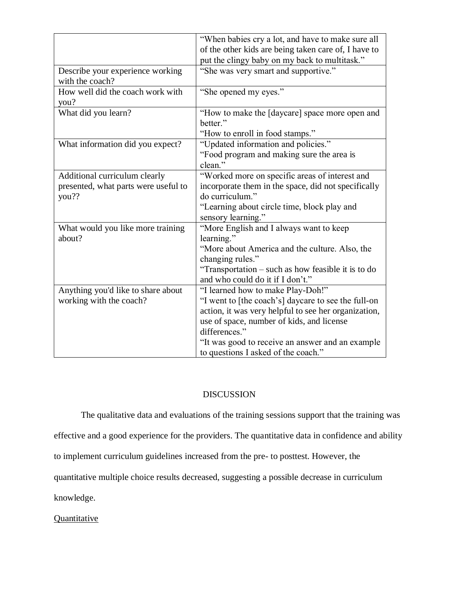|                                      | "When babies cry a lot, and have to make sure all    |
|--------------------------------------|------------------------------------------------------|
|                                      | of the other kids are being taken care of, I have to |
|                                      | put the clingy baby on my back to multitask."        |
| Describe your experience working     | "She was very smart and supportive."                 |
| with the coach?                      |                                                      |
| How well did the coach work with     | "She opened my eyes."                                |
| you?                                 |                                                      |
| What did you learn?                  | "How to make the [daycare] space more open and       |
|                                      | better."                                             |
|                                      | "How to enroll in food stamps."                      |
| What information did you expect?     | "Updated information and policies."                  |
|                                      | "Food program and making sure the area is            |
|                                      | clean."                                              |
| Additional curriculum clearly        | "Worked more on specific areas of interest and       |
| presented, what parts were useful to | incorporate them in the space, did not specifically  |
| you??                                | do curriculum."                                      |
|                                      | "Learning about circle time, block play and          |
|                                      | sensory learning."                                   |
| What would you like more training    | "More English and I always want to keep              |
| about?                               | learning."                                           |
|                                      | "More about America and the culture. Also, the       |
|                                      | changing rules."                                     |
|                                      | "Transportation – such as how feasible it is to do   |
|                                      | and who could do it if I don't."                     |
| Anything you'd like to share about   | "I learned how to make Play-Doh!"                    |
| working with the coach?              | "I went to [the coach's] daycare to see the full-on  |
|                                      | action, it was very helpful to see her organization, |
|                                      | use of space, number of kids, and license            |
|                                      | differences."                                        |
|                                      | "It was good to receive an answer and an example     |
|                                      | to questions I asked of the coach."                  |

## DISCUSSION

The qualitative data and evaluations of the training sessions support that the training was effective and a good experience for the providers. The quantitative data in confidence and ability to implement curriculum guidelines increased from the pre- to posttest. However, the quantitative multiple choice results decreased, suggesting a possible decrease in curriculum knowledge.

**Quantitative**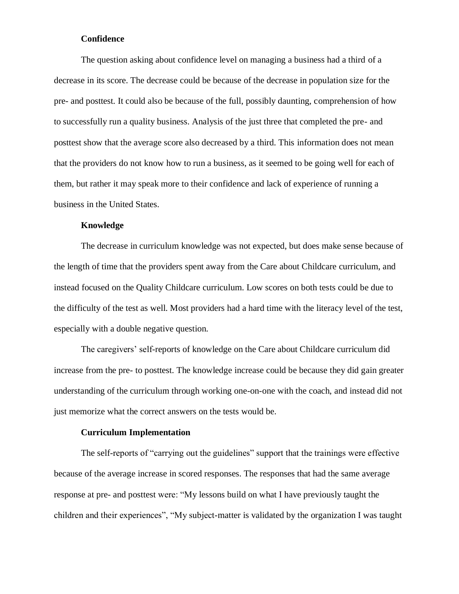## **Confidence**

The question asking about confidence level on managing a business had a third of a decrease in its score. The decrease could be because of the decrease in population size for the pre- and posttest. It could also be because of the full, possibly daunting, comprehension of how to successfully run a quality business. Analysis of the just three that completed the pre- and posttest show that the average score also decreased by a third. This information does not mean that the providers do not know how to run a business, as it seemed to be going well for each of them, but rather it may speak more to their confidence and lack of experience of running a business in the United States.

#### **Knowledge**

The decrease in curriculum knowledge was not expected, but does make sense because of the length of time that the providers spent away from the Care about Childcare curriculum, and instead focused on the Quality Childcare curriculum. Low scores on both tests could be due to the difficulty of the test as well. Most providers had a hard time with the literacy level of the test, especially with a double negative question.

The caregivers' self-reports of knowledge on the Care about Childcare curriculum did increase from the pre- to posttest. The knowledge increase could be because they did gain greater understanding of the curriculum through working one-on-one with the coach, and instead did not just memorize what the correct answers on the tests would be.

#### **Curriculum Implementation**

The self-reports of "carrying out the guidelines" support that the trainings were effective because of the average increase in scored responses. The responses that had the same average response at pre- and posttest were: "My lessons build on what I have previously taught the children and their experiences", "My subject-matter is validated by the organization I was taught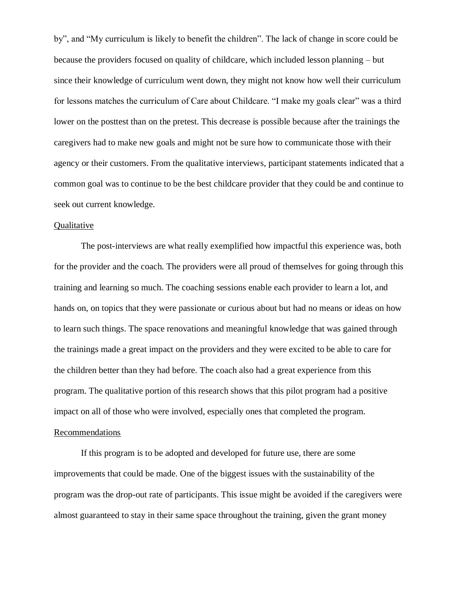by", and "My curriculum is likely to benefit the children". The lack of change in score could be because the providers focused on quality of childcare, which included lesson planning – but since their knowledge of curriculum went down, they might not know how well their curriculum for lessons matches the curriculum of Care about Childcare. "I make my goals clear" was a third lower on the posttest than on the pretest. This decrease is possible because after the trainings the caregivers had to make new goals and might not be sure how to communicate those with their agency or their customers. From the qualitative interviews, participant statements indicated that a common goal was to continue to be the best childcare provider that they could be and continue to seek out current knowledge.

#### **Qualitative**

The post-interviews are what really exemplified how impactful this experience was, both for the provider and the coach. The providers were all proud of themselves for going through this training and learning so much. The coaching sessions enable each provider to learn a lot, and hands on, on topics that they were passionate or curious about but had no means or ideas on how to learn such things. The space renovations and meaningful knowledge that was gained through the trainings made a great impact on the providers and they were excited to be able to care for the children better than they had before. The coach also had a great experience from this program. The qualitative portion of this research shows that this pilot program had a positive impact on all of those who were involved, especially ones that completed the program. Recommendations

If this program is to be adopted and developed for future use, there are some improvements that could be made. One of the biggest issues with the sustainability of the program was the drop-out rate of participants. This issue might be avoided if the caregivers were almost guaranteed to stay in their same space throughout the training, given the grant money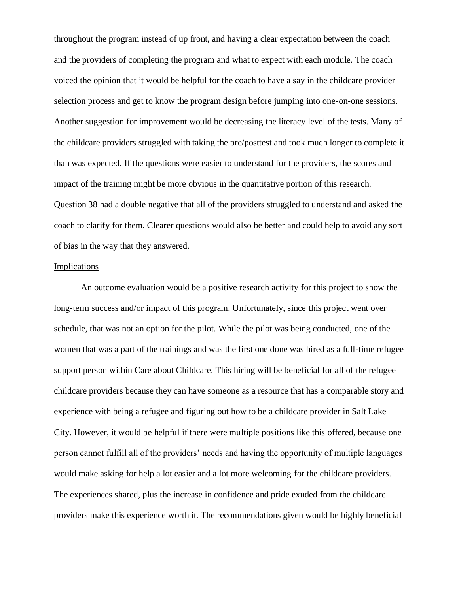throughout the program instead of up front, and having a clear expectation between the coach and the providers of completing the program and what to expect with each module. The coach voiced the opinion that it would be helpful for the coach to have a say in the childcare provider selection process and get to know the program design before jumping into one-on-one sessions. Another suggestion for improvement would be decreasing the literacy level of the tests. Many of the childcare providers struggled with taking the pre/posttest and took much longer to complete it than was expected. If the questions were easier to understand for the providers, the scores and impact of the training might be more obvious in the quantitative portion of this research. Question 38 had a double negative that all of the providers struggled to understand and asked the coach to clarify for them. Clearer questions would also be better and could help to avoid any sort of bias in the way that they answered.

#### **Implications**

An outcome evaluation would be a positive research activity for this project to show the long-term success and/or impact of this program. Unfortunately, since this project went over schedule, that was not an option for the pilot. While the pilot was being conducted, one of the women that was a part of the trainings and was the first one done was hired as a full-time refugee support person within Care about Childcare. This hiring will be beneficial for all of the refugee childcare providers because they can have someone as a resource that has a comparable story and experience with being a refugee and figuring out how to be a childcare provider in Salt Lake City. However, it would be helpful if there were multiple positions like this offered, because one person cannot fulfill all of the providers' needs and having the opportunity of multiple languages would make asking for help a lot easier and a lot more welcoming for the childcare providers. The experiences shared, plus the increase in confidence and pride exuded from the childcare providers make this experience worth it. The recommendations given would be highly beneficial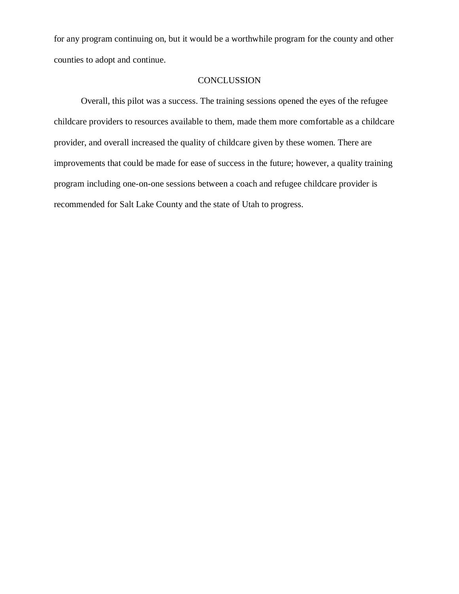for any program continuing on, but it would be a worthwhile program for the county and other counties to adopt and continue.

## **CONCLUSSION**

Overall, this pilot was a success. The training sessions opened the eyes of the refugee childcare providers to resources available to them, made them more comfortable as a childcare provider, and overall increased the quality of childcare given by these women. There are improvements that could be made for ease of success in the future; however, a quality training program including one-on-one sessions between a coach and refugee childcare provider is recommended for Salt Lake County and the state of Utah to progress.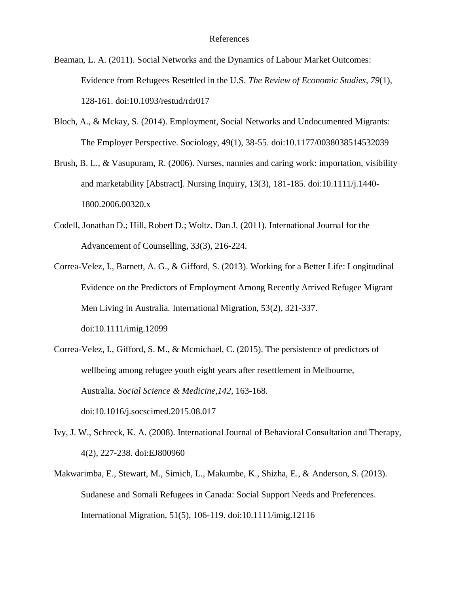- Beaman, L. A. (2011). Social Networks and the Dynamics of Labour Market Outcomes: Evidence from Refugees Resettled in the U.S. *The Review of Economic Studies, 79*(1), 128-161. doi:10.1093/restud/rdr017
- Bloch, A., & Mckay, S. (2014). Employment, Social Networks and Undocumented Migrants: The Employer Perspective. Sociology, 49(1), 38-55. doi:10.1177/0038038514532039
- Brush, B. L., & Vasupuram, R. (2006). Nurses, nannies and caring work: importation, visibility and marketability [Abstract]. Nursing Inquiry, 13(3), 181-185. doi:10.1111/j.1440- 1800.2006.00320.x
- Codell, Jonathan D.; Hill, Robert D.; Woltz, Dan J. (2011). International Journal for the Advancement of Counselling, 33(3), 216-224.
- Correa-Velez, I., Barnett, A. G., & Gifford, S. (2013). Working for a Better Life: Longitudinal Evidence on the Predictors of Employment Among Recently Arrived Refugee Migrant Men Living in Australia. International Migration, 53(2), 321-337. doi:10.1111/imig.12099
- Correa-Velez, I., Gifford, S. M., & Mcmichael, C. (2015). The persistence of predictors of wellbeing among refugee youth eight years after resettlement in Melbourne, Australia. *Social Science & Medicine,142*, 163-168. doi:10.1016/j.socscimed.2015.08.017
- Ivy, J. W., Schreck, K. A. (2008). International Journal of Behavioral Consultation and Therapy, 4(2), 227-238. doi:EJ800960
- Makwarimba, E., Stewart, M., Simich, L., Makumbe, K., Shizha, E., & Anderson, S. (2013). Sudanese and Somali Refugees in Canada: Social Support Needs and Preferences. International Migration, 51(5), 106-119. doi:10.1111/imig.12116